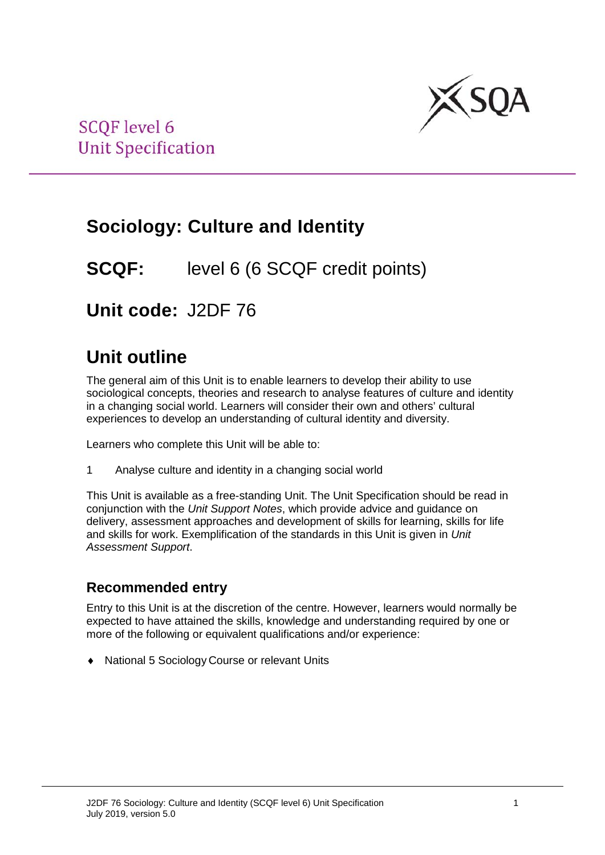

# **Sociology: Culture and Identity**

### **SCQF:** level 6 (6 SCQF credit points)

**Unit code:** J2DF 76

## **Unit outline**

The general aim of this Unit is to enable learners to develop their ability to use sociological concepts, theories and research to analyse features of culture and identity in a changing social world. Learners will consider their own and others' cultural experiences to develop an understanding of cultural identity and diversity.

Learners who complete this Unit will be able to:

1 Analyse culture and identity in a changing social world

This Unit is available as a free-standing Unit. The Unit Specification should be read in conjunction with the *Unit Support Notes*, which provide advice and guidance on delivery, assessment approaches and development of skills for learning, skills for life and skills for work. Exemplification of the standards in this Unit is given in *Unit Assessment Support*.

### **Recommended entry**

Entry to this Unit is at the discretion of the centre. However, learners would normally be expected to have attained the skills, knowledge and understanding required by one or more of the following or equivalent qualifications and/or experience:

♦ National 5 Sociology Course or relevant Units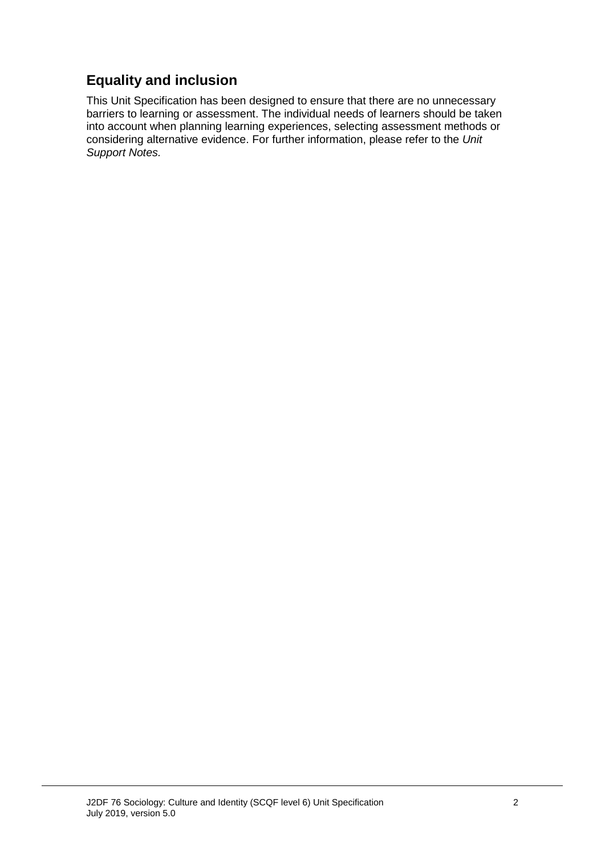### **Equality and inclusion**

This Unit Specification has been designed to ensure that there are no unnecessary barriers to learning or assessment. The individual needs of learners should be taken into account when planning learning experiences, selecting assessment methods or considering alternative evidence. For further information, please refer to the *Unit Support Notes.*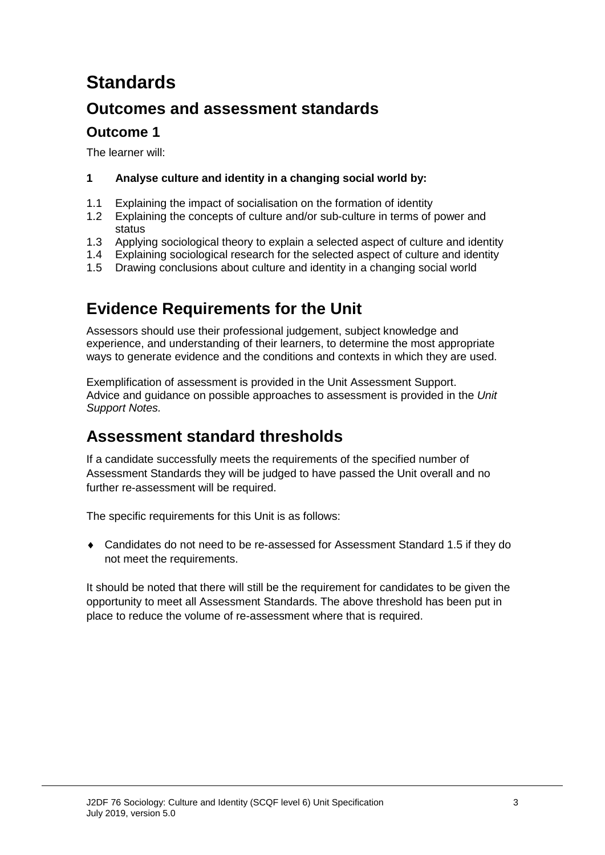# **Standards**

### **Outcomes and assessment standards**

### **Outcome 1**

The learner will:

### **1 Analyse culture and identity in a changing social world by:**

- 1.1 Explaining the impact of socialisation on the formation of identity<br>1.2 Explaining the concepts of culture and/or sub-culture in terms of
- Explaining the concepts of culture and/or sub-culture in terms of power and status
- 1.3 Applying sociological theory to explain a selected aspect of culture and identity
- 1.4 Explaining sociological research for the selected aspect of culture and identity
- 1.5 Drawing conclusions about culture and identity in a changing social world

### **Evidence Requirements for the Unit**

Assessors should use their professional judgement, subject knowledge and experience, and understanding of their learners, to determine the most appropriate ways to generate evidence and the conditions and contexts in which they are used.

Exemplification of assessment is provided in the Unit Assessment Support. Advice and guidance on possible approaches to assessment is provided in the *Unit Support Notes.*

### **Assessment standard thresholds**

If a candidate successfully meets the requirements of the specified number of Assessment Standards they will be judged to have passed the Unit overall and no further re-assessment will be required.

The specific requirements for this Unit is as follows:

♦ Candidates do not need to be re-assessed for Assessment Standard 1.5 if they do not meet the requirements.

It should be noted that there will still be the requirement for candidates to be given the opportunity to meet all Assessment Standards. The above threshold has been put in place to reduce the volume of re-assessment where that is required.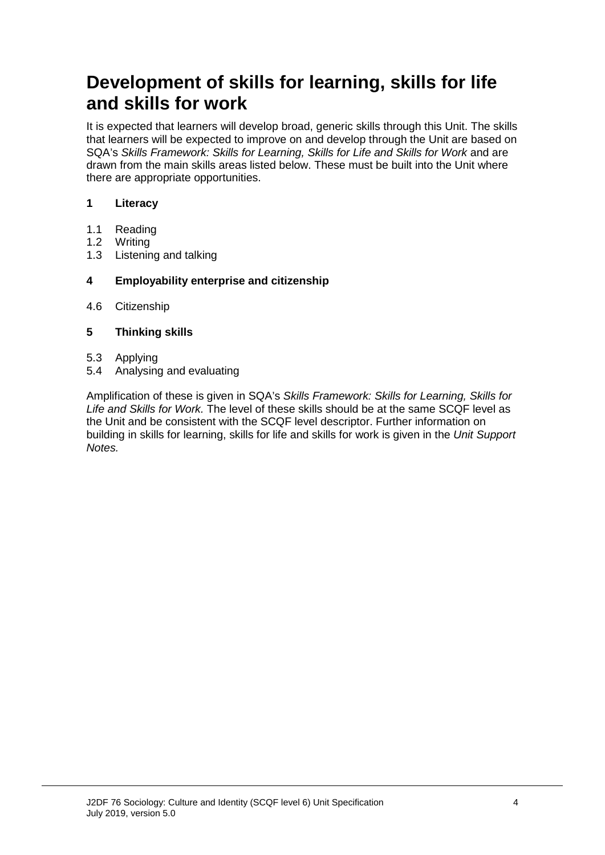## **Development of skills for learning, skills for life and skills for work**

It is expected that learners will develop broad, generic skills through this Unit. The skills that learners will be expected to improve on and develop through the Unit are based on SQA's *Skills Framework: Skills for Learning, Skills for Life and Skills for Work* and are drawn from the main skills areas listed below. These must be built into the Unit where there are appropriate opportunities.

### **1 Literacy**

- 1.1 Reading<br>1.2 Writing
- 1.2 Writing<br>1.3 Listenin
- Listening and talking

#### **4 Employability enterprise and citizenship**

4.6 Citizenship

#### **5 Thinking skills**

- 5.3 Applying
- 5.4 Analysing and evaluating

Amplification of these is given in SQA's *Skills Framework: Skills for Learning, Skills for Life and Skills for Work.* The level of these skills should be at the same SCQF level as the Unit and be consistent with the SCQF level descriptor. Further information on building in skills for learning, skills for life and skills for work is given in the *Unit Support Notes.*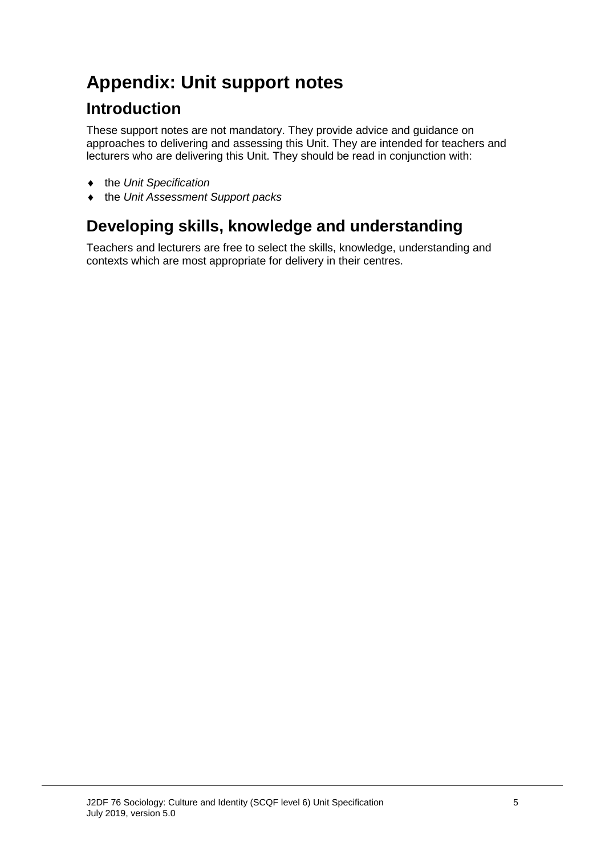# **Appendix: Unit support notes**

### **Introduction**

These support notes are not mandatory. They provide advice and guidance on approaches to delivering and assessing this Unit. They are intended for teachers and lecturers who are delivering this Unit. They should be read in conjunction with:

- ♦ the *Unit Specification*
- ♦ the *Unit Assessment Support packs*

## **Developing skills, knowledge and understanding**

Teachers and lecturers are free to select the skills, knowledge, understanding and contexts which are most appropriate for delivery in their centres.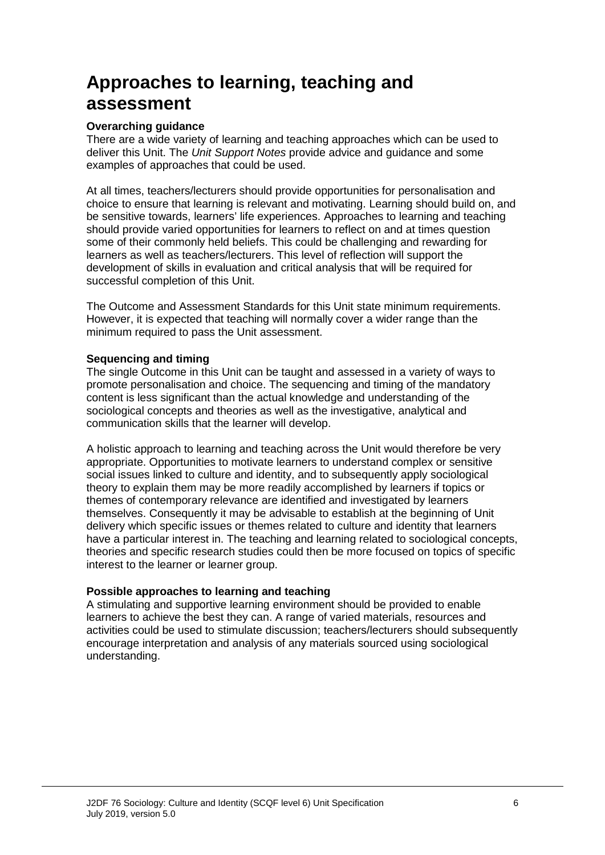## **Approaches to learning, teaching and assessment**

#### **Overarching guidance**

There are a wide variety of learning and teaching approaches which can be used to deliver this Unit. The *Unit Support Notes* provide advice and guidance and some examples of approaches that could be used.

At all times, teachers/lecturers should provide opportunities for personalisation and choice to ensure that learning is relevant and motivating. Learning should build on, and be sensitive towards, learners' life experiences. Approaches to learning and teaching should provide varied opportunities for learners to reflect on and at times question some of their commonly held beliefs. This could be challenging and rewarding for learners as well as teachers/lecturers. This level of reflection will support the development of skills in evaluation and critical analysis that will be required for successful completion of this Unit.

The Outcome and Assessment Standards for this Unit state minimum requirements. However, it is expected that teaching will normally cover a wider range than the minimum required to pass the Unit assessment.

#### **Sequencing and timing**

The single Outcome in this Unit can be taught and assessed in a variety of ways to promote personalisation and choice. The sequencing and timing of the mandatory content is less significant than the actual knowledge and understanding of the sociological concepts and theories as well as the investigative, analytical and communication skills that the learner will develop.

A holistic approach to learning and teaching across the Unit would therefore be very appropriate. Opportunities to motivate learners to understand complex or sensitive social issues linked to culture and identity, and to subsequently apply sociological theory to explain them may be more readily accomplished by learners if topics or themes of contemporary relevance are identified and investigated by learners themselves. Consequently it may be advisable to establish at the beginning of Unit delivery which specific issues or themes related to culture and identity that learners have a particular interest in. The teaching and learning related to sociological concepts, theories and specific research studies could then be more focused on topics of specific interest to the learner or learner group.

#### **Possible approaches to learning and teaching**

A stimulating and supportive learning environment should be provided to enable learners to achieve the best they can. A range of varied materials, resources and activities could be used to stimulate discussion; teachers/lecturers should subsequently encourage interpretation and analysis of any materials sourced using sociological understanding.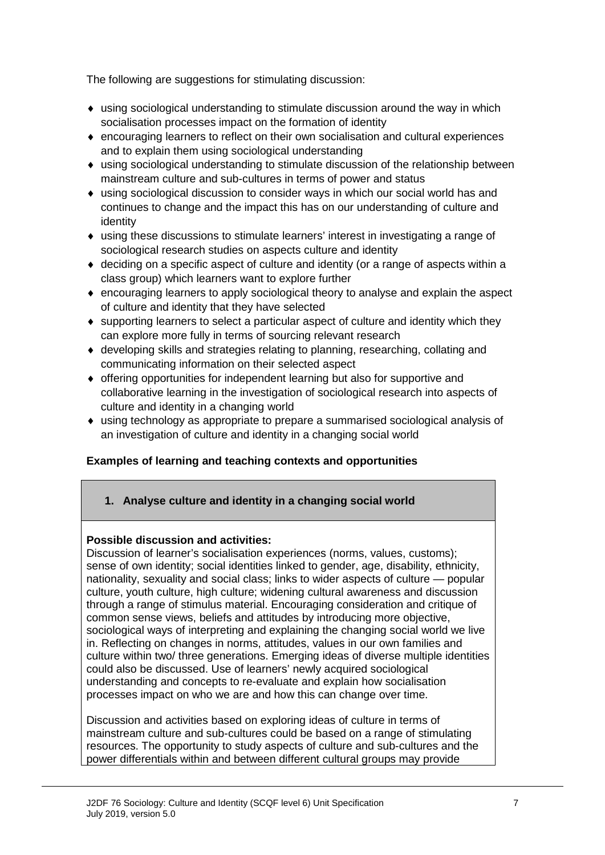The following are suggestions for stimulating discussion:

- ♦ using sociological understanding to stimulate discussion around the way in which socialisation processes impact on the formation of identity
- ♦ encouraging learners to reflect on their own socialisation and cultural experiences and to explain them using sociological understanding
- ♦ using sociological understanding to stimulate discussion of the relationship between mainstream culture and sub-cultures in terms of power and status
- ♦ using sociological discussion to consider ways in which our social world has and continues to change and the impact this has on our understanding of culture and identity
- ♦ using these discussions to stimulate learners' interest in investigating a range of sociological research studies on aspects culture and identity
- $\bullet$  deciding on a specific aspect of culture and identity (or a range of aspects within a class group) which learners want to explore further
- ♦ encouraging learners to apply sociological theory to analyse and explain the aspect of culture and identity that they have selected
- ♦ supporting learners to select a particular aspect of culture and identity which they can explore more fully in terms of sourcing relevant research
- ♦ developing skills and strategies relating to planning, researching, collating and communicating information on their selected aspect
- ♦ offering opportunities for independent learning but also for supportive and collaborative learning in the investigation of sociological research into aspects of culture and identity in a changing world
- ♦ using technology as appropriate to prepare a summarised sociological analysis of an investigation of culture and identity in a changing social world

#### **Examples of learning and teaching contexts and opportunities**

#### **1. Analyse culture and identity in a changing social world**

#### **Possible discussion and activities:**

Discussion of learner's socialisation experiences (norms, values, customs); sense of own identity; social identities linked to gender, age, disability, ethnicity, nationality, sexuality and social class; links to wider aspects of culture — popular culture, youth culture, high culture; widening cultural awareness and discussion through a range of stimulus material. Encouraging consideration and critique of common sense views, beliefs and attitudes by introducing more objective, sociological ways of interpreting and explaining the changing social world we live in. Reflecting on changes in norms, attitudes, values in our own families and culture within two/ three generations. Emerging ideas of diverse multiple identities could also be discussed. Use of learners' newly acquired sociological understanding and concepts to re-evaluate and explain how socialisation processes impact on who we are and how this can change over time.

Discussion and activities based on exploring ideas of culture in terms of mainstream culture and sub-cultures could be based on a range of stimulating resources. The opportunity to study aspects of culture and sub-cultures and the power differentials within and between different cultural groups may provide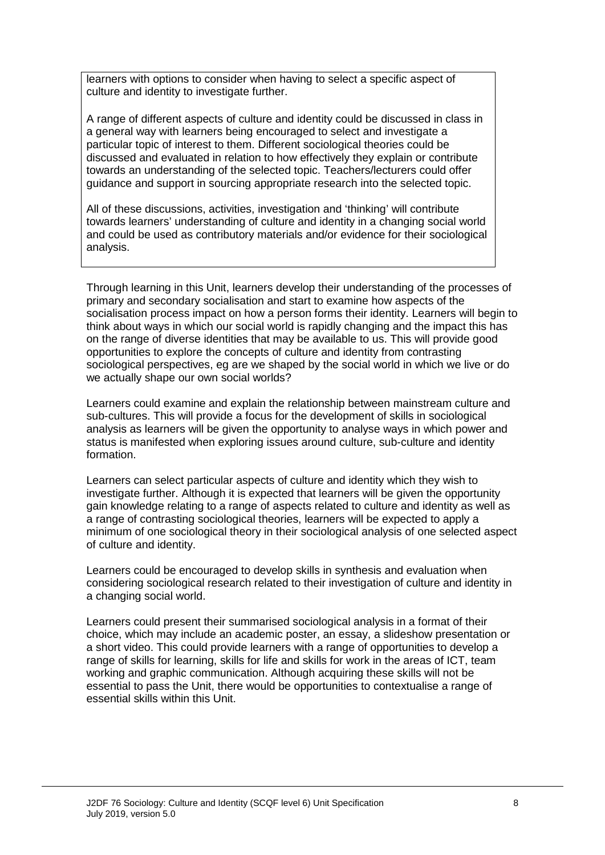learners with options to consider when having to select a specific aspect of culture and identity to investigate further.

A range of different aspects of culture and identity could be discussed in class in a general way with learners being encouraged to select and investigate a particular topic of interest to them. Different sociological theories could be discussed and evaluated in relation to how effectively they explain or contribute towards an understanding of the selected topic. Teachers/lecturers could offer guidance and support in sourcing appropriate research into the selected topic.

All of these discussions, activities, investigation and 'thinking' will contribute towards learners' understanding of culture and identity in a changing social world and could be used as contributory materials and/or evidence for their sociological analysis.

Through learning in this Unit, learners develop their understanding of the processes of primary and secondary socialisation and start to examine how aspects of the socialisation process impact on how a person forms their identity. Learners will begin to think about ways in which our social world is rapidly changing and the impact this has on the range of diverse identities that may be available to us. This will provide good opportunities to explore the concepts of culture and identity from contrasting sociological perspectives, eg are we shaped by the social world in which we live or do we actually shape our own social worlds?

Learners could examine and explain the relationship between mainstream culture and sub-cultures. This will provide a focus for the development of skills in sociological analysis as learners will be given the opportunity to analyse ways in which power and status is manifested when exploring issues around culture, sub-culture and identity formation.

Learners can select particular aspects of culture and identity which they wish to investigate further. Although it is expected that learners will be given the opportunity gain knowledge relating to a range of aspects related to culture and identity as well as a range of contrasting sociological theories, learners will be expected to apply a minimum of one sociological theory in their sociological analysis of one selected aspect of culture and identity.

Learners could be encouraged to develop skills in synthesis and evaluation when considering sociological research related to their investigation of culture and identity in a changing social world.

Learners could present their summarised sociological analysis in a format of their choice, which may include an academic poster, an essay, a slideshow presentation or a short video. This could provide learners with a range of opportunities to develop a range of skills for learning, skills for life and skills for work in the areas of ICT, team working and graphic communication. Although acquiring these skills will not be essential to pass the Unit, there would be opportunities to contextualise a range of essential skills within this Unit.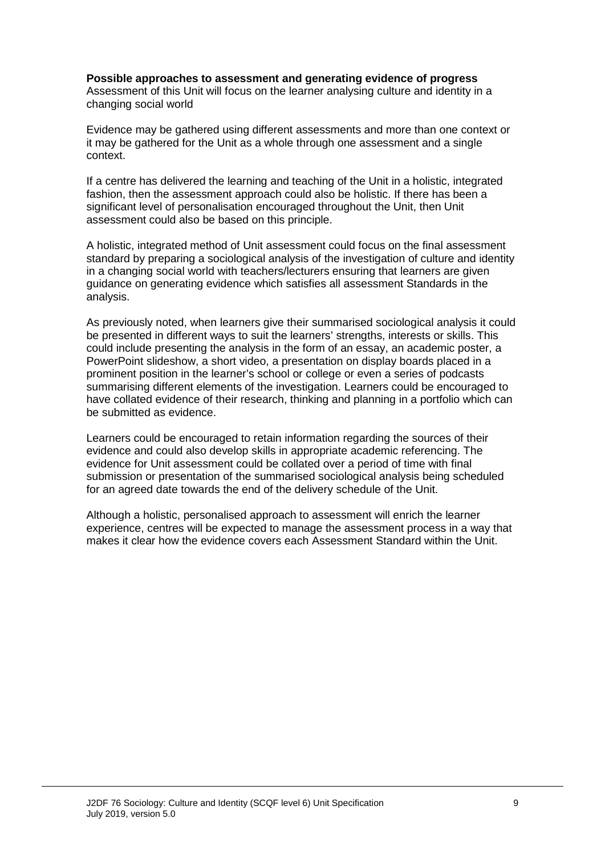#### **Possible approaches to assessment and generating evidence of progress**

Assessment of this Unit will focus on the learner analysing culture and identity in a changing social world

Evidence may be gathered using different assessments and more than one context or it may be gathered for the Unit as a whole through one assessment and a single context.

If a centre has delivered the learning and teaching of the Unit in a holistic, integrated fashion, then the assessment approach could also be holistic. If there has been a significant level of personalisation encouraged throughout the Unit, then Unit assessment could also be based on this principle.

A holistic, integrated method of Unit assessment could focus on the final assessment standard by preparing a sociological analysis of the investigation of culture and identity in a changing social world with teachers/lecturers ensuring that learners are given guidance on generating evidence which satisfies all assessment Standards in the analysis.

As previously noted, when learners give their summarised sociological analysis it could be presented in different ways to suit the learners' strengths, interests or skills. This could include presenting the analysis in the form of an essay, an academic poster, a PowerPoint slideshow, a short video, a presentation on display boards placed in a prominent position in the learner's school or college or even a series of podcasts summarising different elements of the investigation. Learners could be encouraged to have collated evidence of their research, thinking and planning in a portfolio which can be submitted as evidence.

Learners could be encouraged to retain information regarding the sources of their evidence and could also develop skills in appropriate academic referencing. The evidence for Unit assessment could be collated over a period of time with final submission or presentation of the summarised sociological analysis being scheduled for an agreed date towards the end of the delivery schedule of the Unit.

Although a holistic, personalised approach to assessment will enrich the learner experience, centres will be expected to manage the assessment process in a way that makes it clear how the evidence covers each Assessment Standard within the Unit.